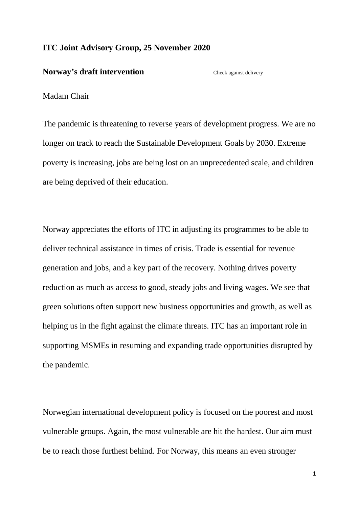## **ITC Joint Advisory Group, 25 November 2020**

## **Norway's draft intervention** Check against delivery

## Madam Chair

The pandemic is threatening to reverse years of development progress. We are no longer on track to reach the Sustainable Development Goals by 2030. Extreme poverty is increasing, jobs are being lost on an unprecedented scale, and children are being deprived of their education.

Norway appreciates the efforts of ITC in adjusting its programmes to be able to deliver technical assistance in times of crisis. Trade is essential for revenue generation and jobs, and a key part of the recovery. Nothing drives poverty reduction as much as access to good, steady jobs and living wages. We see that green solutions often support new business opportunities and growth, as well as helping us in the fight against the climate threats. ITC has an important role in supporting MSMEs in resuming and expanding trade opportunities disrupted by the pandemic.

Norwegian international development policy is focused on the poorest and most vulnerable groups. Again, the most vulnerable are hit the hardest. Our aim must be to reach those furthest behind. For Norway, this means an even stronger